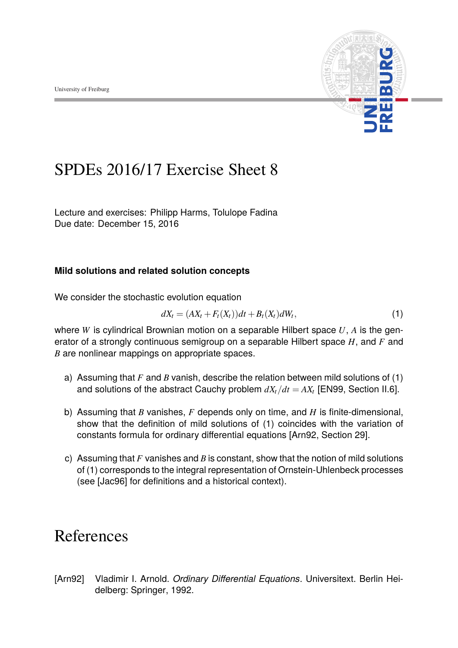

## SPDEs 2016/17 Exercise Sheet 8

Lecture and exercises: [Philipp Harms,](philipp.harms@stochastik.uni-freiburg.de) [Tolulope Fadina](tolulope.fadina@stochastik.uni-freiburg.de) Due date: December 15, 2016

## **Mild solutions and related solution concepts**

We consider the stochastic evolution equation

$$
dX_t = (AX_t + F_t(X_t))dt + B_t(X_t)dW_t,
$$
\n(1)

where *W* is cylindrical Brownian motion on a separable Hilbert space *U*, *A* is the generator of a strongly continuous semigroup on a separable Hilbert space *H*, and *F* and *B* are nonlinear mappings on appropriate spaces.

- a) Assuming that *F* and *B* vanish, describe the relation between mild solutions of (1) and solutions of the abstract Cauchy problem  $dX_t/dt = AX_t$  [EN99, Section II.6].
- b) Assuming that *B* vanishes, *F* depends only on time, and *H* is finite-dimensional, show that the definition of mild solutions of (1) coincides with the variation of constants formula for ordinary differential equations [Arn92, Section 29].
- c) Assuming that *F* vanishes and *B* is constant, show that the notion of mild solutions of (1) corresponds to the integral representation of Ornstein-Uhlenbeck processes (see [Jac96] for definitions and a historical context).

## References

[Arn92] Vladimir I. Arnold. *Ordinary Differential Equations*. Universitext. Berlin Heidelberg: Springer, 1992.